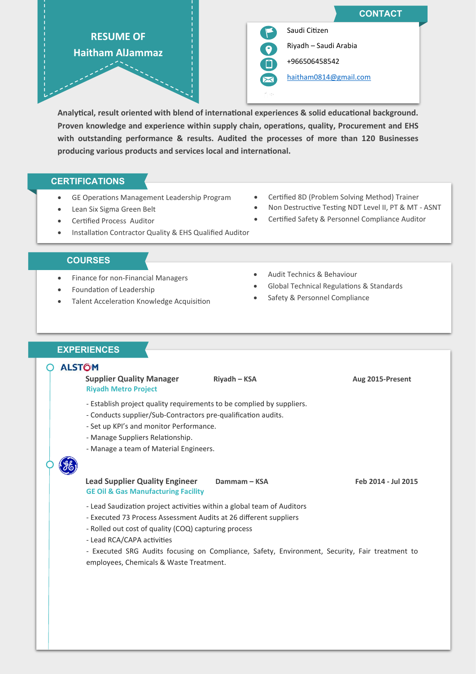

**Analytical, result oriented with blend of international experiences & solid educational background. Proven knowledge and experience within supply chain, operations, quality, Procurement and EHS with outstanding performance & results. Audited the processes of more than 120 Businesses producing various products and services local and international.**

# **CERTIFICATIONS**

- GE Operations Management Leadership Program
- Lean Six Sigma Green Belt
- Certified Process Auditor
- Installation Contractor Quality & EHS Qualified Auditor

### **COURSES**

- Finance for non-Financial Managers
- Foundation of Leadership
- Talent Acceleration Knowledge Acquisition
- Audit Technics & Behaviour
- Global Technical Regulations & Standards

• Certified 8D (Problem Solving Method) Trainer • Non Destructive Testing NDT Level II, PT & MT - ASNT • Certified Safety & Personnel Compliance Auditor

Safety & Personnel Compliance

# **EXPERIENCES**j

#### **ALSTOM** ∩

 **Supplier Quality Manager Riyadh – KSA Aug 2015-Present Riyadh Metro Project**

- Establish project quality requirements to be complied by suppliers.
- Conducts supplier/Sub-Contractors pre-qualification audits.
- Set up KPI's and monitor Performance.
- Manage Suppliers Relationship.
- Manage a team of Material Engineers.

### **Lead Supplier Quality Engineer Dammam – KSA Feb** 2014 - Jul 2015 **GE Oil & Gas Manufacturing Facility**

- Lead Saudization project activities within a global team of Auditors
- Executed 73 Process Assessment Audits at 26 different suppliers
- Rolled out cost of quality (COQ) capturing process
- Lead RCA/CAPA activities

- Executed SRG Audits focusing on Compliance, Safety, Environment, Security, Fair treatment to employees, Chemicals & Waste Treatment.

- 
-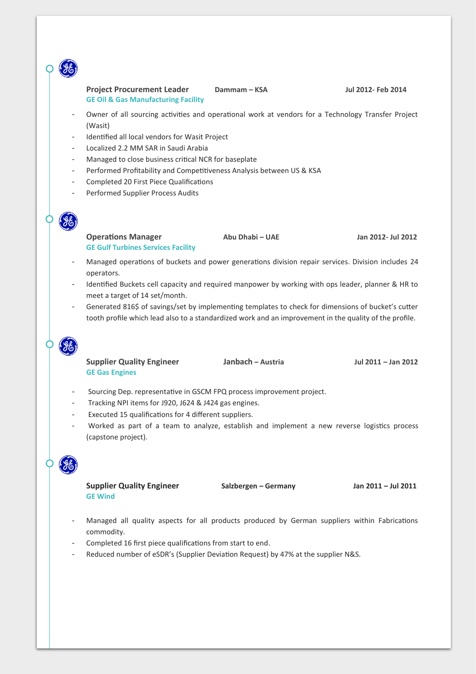# **Project Procurement Leader Dammam – KSA Jul 2012- Feb 2014 GE Oil & Gas Manufacturing Facility**

- Owner of all sourcing activities and operational work at vendors for a Technology Transfer Project (Wasit)
- Identified all local vendors for Wasit Project
- Localized 2.2 MM SAR in Saudi Arabia
- Managed to close business critical NCR for baseplate
- Performed Profitability and Competitiveness Analysis between US & KSA
- Completed 20 First Piece Qualifications
- Performed Supplier Process Audits

**Operations Manager Abu Dhabi – UAE Jan 2012- Jul 2012 GE Gulf Turbines Services Facility**

- Managed operations of buckets and power generations division repair services. Division includes 24 operators.
- Identified Buckets cell capacity and required manpower by working with ops leader, planner & HR to meet a target of 14 set/month.
- Generated 816\$ of savings/set by implementing templates to check for dimensions of bucket's cutter tooth profile which lead also to a standardized work and an improvement in the quality of the profile.



**Supplier Quality Engineer Janbach – Austria Jul 2011 – Jan 2012 GE Gas Engines**

- Sourcing Dep. representative in GSCM FPQ process improvement project.
- Tracking NPI items for J920, J624 & J424 gas engines.
- Executed 15 qualifications for 4 different suppliers.
- Worked as part of a team to analyze, establish and implement a new reverse logistics process (capstone project).

**Supplier Quality Engineer Salzbergen – Germany Jan 2011 – Jul 2011 GE Wind**

- Managed all quality aspects for all products produced by German suppliers within Fabrications commodity.
- Completed 16 first piece qualifications from start to end.
- Reduced number of eSDR's (Supplier Deviation Request) by 47% at the supplier N&S.